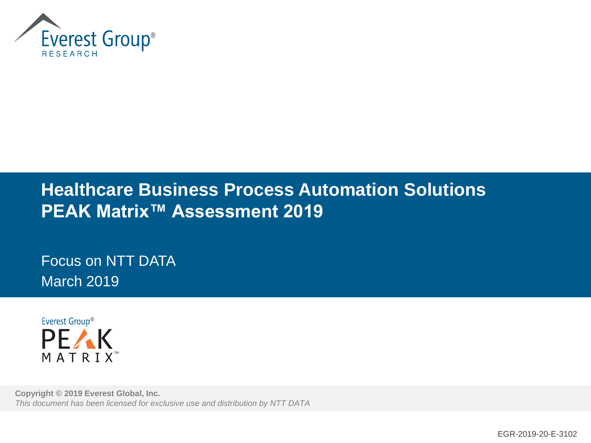

## **Healthcare Business Process Automation Solutions PEAK Matrix™ Assessment 2019**

Focus on NTT DATA March 2019



**Copyright © 2019 Everest Global, Inc.** *This document has been licensed for exclusive use and distribution by NTT DATA*

EGR-2019-20-E-3102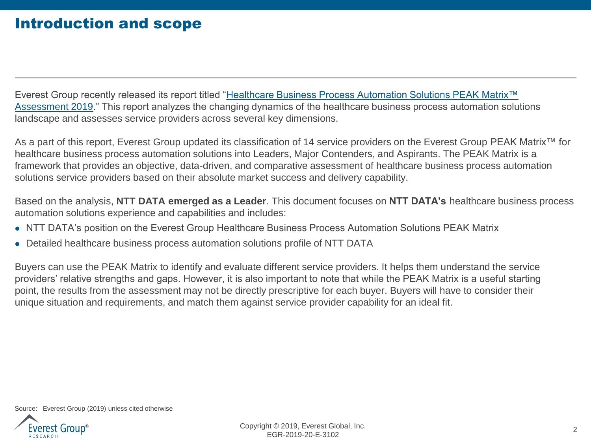### Introduction and scope

Everest Group recently released its report titled "Healthcare Business Process Automation Solutions PEAK Matrix™ [Assessment 2019." This report analyzes the changing dynamics of the healthcare business process automation solu](https://www2.everestgrp.com/reportaction/EGR-2019-20-R-3057/Toc)tions landscape and assesses service providers across several key dimensions.

As a part of this report, Everest Group updated its classification of 14 service providers on the Everest Group PEAK Matrix<sup>™</sup> for healthcare business process automation solutions into Leaders, Major Contenders, and Aspirants. The PEAK Matrix is a framework that provides an objective, data-driven, and comparative assessment of healthcare business process automation solutions service providers based on their absolute market success and delivery capability.

Based on the analysis, **NTT DATA emerged as a Leader**. This document focuses on **NTT DATA's** healthcare business process automation solutions experience and capabilities and includes:

- ⚫ NTT DATA's position on the Everest Group Healthcare Business Process Automation Solutions PEAK Matrix
- ⚫ Detailed healthcare business process automation solutions profile of NTT DATA

Buyers can use the PEAK Matrix to identify and evaluate different service providers. It helps them understand the service providers' relative strengths and gaps. However, it is also important to note that while the PEAK Matrix is a useful starting point, the results from the assessment may not be directly prescriptive for each buyer. Buyers will have to consider their unique situation and requirements, and match them against service provider capability for an ideal fit.

Source: Everest Group (2019) unless cited otherwise

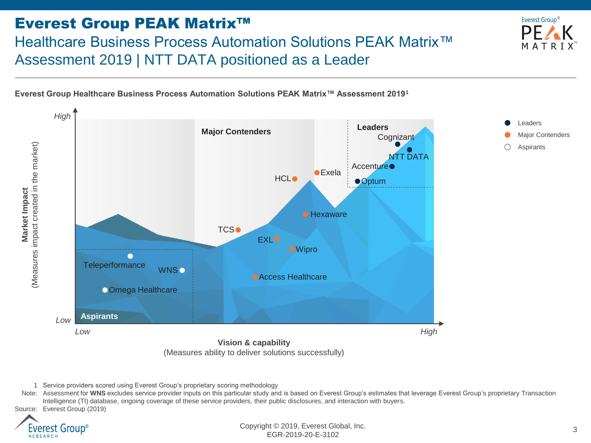### Everest Group PEAK Matrix™ Healthcare Business Process Automation Solutions PEAK Matrix™ Assessment 2019 | NTT DATA positioned as a Leader



**Everest Group Healthcare Business Process Automation Solutions PEAK Matrix™ Assessment 2019<sup>1</sup>**



<sup>1</sup> Service providers scored using Everest Group's proprietary scoring methodology

Note: Assessment for WNS excludes service provider inputs on this particular study and is based on Everest Group's estimates that leverage Everest Group's proprietary Transaction Intelligence (TI) database, ongoing coverage of these service providers, their public disclosures, and interaction with buyers.



Copyright © 2019, Everest Global, Inc. EGR-2019-20-E-3102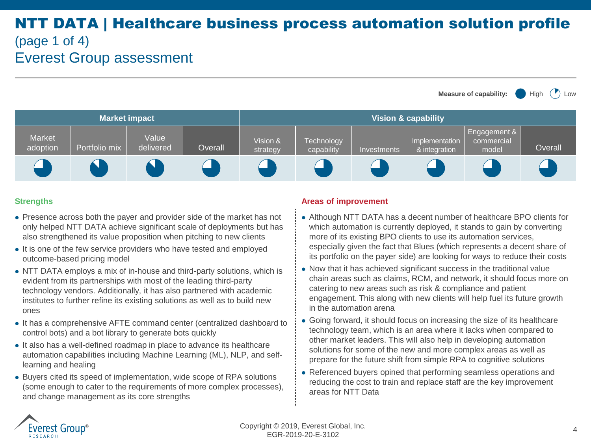### NTT DATA | Healthcare business process automation solution profile (page 1 of 4) Everest Group assessment

**Measure of capability:** High  $(\prime)$  Low



- Presence across both the payer and provider side of the market has not only helped NTT DATA achieve significant scale of deployments but has also strengthened its value proposition when pitching to new clients
- It is one of the few service providers who have tested and employed outcome-based pricing model
- ⚫ NTT DATA employs a mix of in-house and third-party solutions, which is evident from its partnerships with most of the leading third-party technology vendors. Additionally, it has also partnered with academic institutes to further refine its existing solutions as well as to build new ones
- ⚫ It has a comprehensive AFTE command center (centralized dashboard to control bots) and a bot library to generate bots quickly
- ⚫ It also has a well-defined roadmap in place to advance its healthcare automation capabilities including Machine Learning (ML), NLP, and selflearning and healing
- ⚫ Buyers cited its speed of implementation, wide scope of RPA solutions (some enough to cater to the requirements of more complex processes), and change management as its core strengths

### **Strengths Areas of improvement Areas of improvement**

- ⚫ Although NTT DATA has a decent number of healthcare BPO clients for which automation is currently deployed, it stands to gain by converting more of its existing BPO clients to use its automation services, especially given the fact that Blues (which represents a decent share of its portfolio on the payer side) are looking for ways to reduce their costs
- ⚫ Now that it has achieved significant success in the traditional value chain areas such as claims, RCM, and network, it should focus more on catering to new areas such as risk & compliance and patient engagement. This along with new clients will help fuel its future growth in the automation arena
- ⚫ Going forward, it should focus on increasing the size of its healthcare technology team, which is an area where it lacks when compared to other market leaders. This will also help in developing automation solutions for some of the new and more complex areas as well as prepare for the future shift from simple RPA to cognitive solutions
- ⚫ Referenced buyers opined that performing seamless operations and reducing the cost to train and replace staff are the key improvement areas for NTT Data

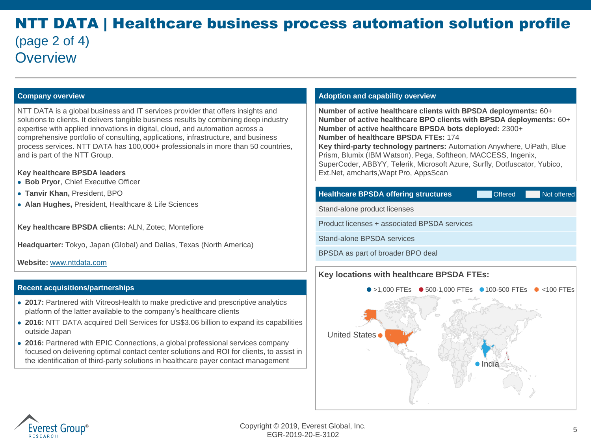### NTT DATA | Healthcare business process automation solution profile (page 2 of 4) **Overview**

NTT DATA is a global business and IT services provider that offers insights and solutions to clients. It delivers tangible business results by combining deep industry expertise with applied innovations in digital, cloud, and automation across a comprehensive portfolio of consulting, applications, infrastructure, and business process services. NTT DATA has 100,000+ professionals in more than 50 countries, and is part of the NTT Group.

#### **Key healthcare BPSDA leaders**

- ⚫ **Bob Pryor**, Chief Executive Officer
- ⚫ **Tanvir Khan,** President, BPO
- ⚫ **Alan Hughes,** President, Healthcare & Life Sciences

**Key healthcare BPSDA clients:** ALN, Zotec, Montefiore

**Headquarter:** Tokyo, Japan (Global) and Dallas, Texas (North America)

**Website:** [www.nttdata.com](http://www.nttdata.com/)

#### **Recent acquisitions/partnerships**

- **2017:** Partnered with VitreosHealth to make predictive and prescriptive analytics platform of the latter available to the company's healthcare clients
- ⚫ **2016:** NTT DATA acquired Dell Services for US\$3.06 billion to expand its capabilities outside Japan
- ⚫ **2016:** Partnered with EPIC Connections, a global professional services company focused on delivering optimal contact center solutions and ROI for clients, to assist in the identification of third-party solutions in healthcare payer contact management

#### **Company overview Adoption and capability overview Company overview Adoption and capability overview**

**Number of active healthcare clients with BPSDA deployments:** 60+ **Number of active healthcare BPO clients with BPSDA deployments:** 60+ **Number of active healthcare BPSDA bots deployed:** 2300+ **Number of healthcare BPSDA FTEs:** 174 **Key third-party technology partners:** Automation Anywhere, UiPath, Blue Prism, Blumix (IBM Watson), Pega, Softheon, MACCESS, Ingenix, SuperCoder, ABBYY, Telerik, Microsoft Azure, Surfly, Dotfuscator, Yubico, Ext.Net, amcharts,Wapt Pro, AppsScan

#### **Healthcare BPSDA offering structures** Offered Not offered

Stand-alone product licenses

Product licenses + associated BPSDA services

Stand-alone BPSDA services

BPSDA as part of broader BPO deal

### **Key locations with healthcare BPSDA FTEs:**



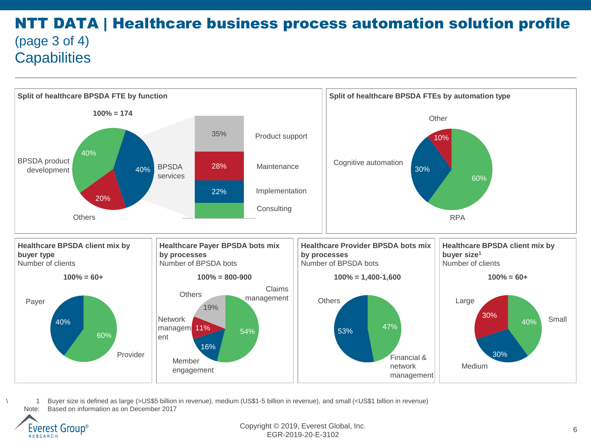### NTT DATA | Healthcare business process automation solution profile (page 3 of 4) **Capabilities**



\ 1 Buyer size is defined as large (>US\$5 billion in revenue), medium (US\$1-5 billion in revenue), and small (<US\$1 billion in revenue) Note: Based on information as on December 2017



Copyright © 2019, Everest Global, Inc. EGR-2019-20-E-3102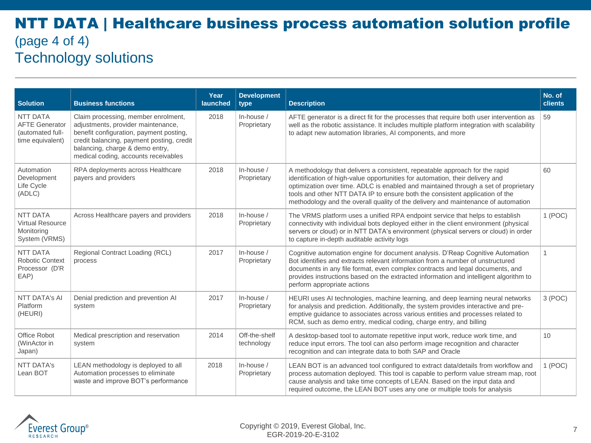### NTT DATA | Healthcare business process automation solution profile (page 4 of 4) Technology solutions

| <b>Solution</b>                                                                  | <b>Business functions</b>                                                                                                                                                                                                                    | Year<br>launched | <b>Development</b><br>type     | <b>Description</b>                                                                                                                                                                                                                                                                                                                                                                                                       | No. of<br><b>clients</b> |
|----------------------------------------------------------------------------------|----------------------------------------------------------------------------------------------------------------------------------------------------------------------------------------------------------------------------------------------|------------------|--------------------------------|--------------------------------------------------------------------------------------------------------------------------------------------------------------------------------------------------------------------------------------------------------------------------------------------------------------------------------------------------------------------------------------------------------------------------|--------------------------|
| <b>NTT DATA</b><br><b>AFTE Generator</b><br>(automated full-<br>time equivalent) | Claim processing, member enrolment,<br>adjustments, provider maintenance,<br>benefit configuration, payment posting,<br>credit balancing, payment posting, credit<br>balancing, charge & demo entry,<br>medical coding, accounts receivables | 2018             | In-house /<br>Proprietary      | AFTE generator is a direct fit for the processes that require both user intervention as<br>well as the robotic assistance. It includes multiple platform integration with scalability<br>to adapt new automation libraries, AI components, and more                                                                                                                                                                      | 59                       |
| Automation<br>Development<br>Life Cycle<br>(ADLC)                                | RPA deployments across Healthcare<br>payers and providers                                                                                                                                                                                    | 2018             | In-house /<br>Proprietary      | A methodology that delivers a consistent, repeatable approach for the rapid<br>identification of high-value opportunities for automation, their delivery and<br>optimization over time. ADLC is enabled and maintained through a set of proprietary<br>tools and other NTT DATA IP to ensure both the consistent application of the<br>methodology and the overall quality of the delivery and maintenance of automation |                          |
| NTT DATA<br><b>Virtual Resource</b><br>Monitoring<br>System (VRMS)               | Across Healthcare payers and providers                                                                                                                                                                                                       | 2018             | In-house /<br>Proprietary      | The VRMS platform uses a unified RPA endpoint service that helps to establish<br>connectivity with individual bots deployed either in the client environment (physical<br>servers or cloud) or in NTT DATA's environment (physical servers or cloud) in order<br>to capture in-depth auditable activity logs                                                                                                             |                          |
| NTT DATA<br><b>Robotic Context</b><br>Processor (D'R<br>EAP)                     | Regional Contract Loading (RCL)<br>process                                                                                                                                                                                                   | 2017             | In-house /<br>Proprietary      | Cognitive automation engine for document analysis. D'Reap Cognitive Automation<br>Bot identifies and extracts relevant information from a number of unstructured<br>documents in any file format, even complex contracts and legal documents, and<br>provides instructions based on the extracted information and intelligent algorithm to<br>perform appropriate actions                                                |                          |
| <b>NTT DATA's AI</b><br>Platform<br>(HEURI)                                      | Denial prediction and prevention AI<br>system                                                                                                                                                                                                | 2017             | In-house /<br>Proprietary      | HEURI uses AI technologies, machine learning, and deep learning neural networks<br>for analysis and prediction. Additionally, the system provides interactive and pre-<br>emptive guidance to associates across various entities and processes related to<br>RCM, such as demo entry, medical coding, charge entry, and billing                                                                                          |                          |
| Office Robot<br>(WinActor in<br>Japan)                                           | Medical prescription and reservation<br>system                                                                                                                                                                                               | 2014             | Off-the-shelf<br>technology    | A desktop-based tool to automate repetitive input work, reduce work time, and<br>reduce input errors. The tool can also perform image recognition and character<br>recognition and can integrate data to both SAP and Oracle                                                                                                                                                                                             | 10                       |
| <b>NTT DATA's</b><br>Lean BOT                                                    | LEAN methodology is deployed to all<br>Automation processes to eliminate<br>waste and improve BOT's performance                                                                                                                              | 2018             | $In$ -house $/$<br>Proprietary | LEAN BOT is an advanced tool configured to extract data/details from workflow and<br>process automation deployed. This tool is capable to perform value stream map, root<br>cause analysis and take time concepts of LEAN. Based on the input data and<br>required outcome, the LEAN BOT uses any one or multiple tools for analysis                                                                                     |                          |

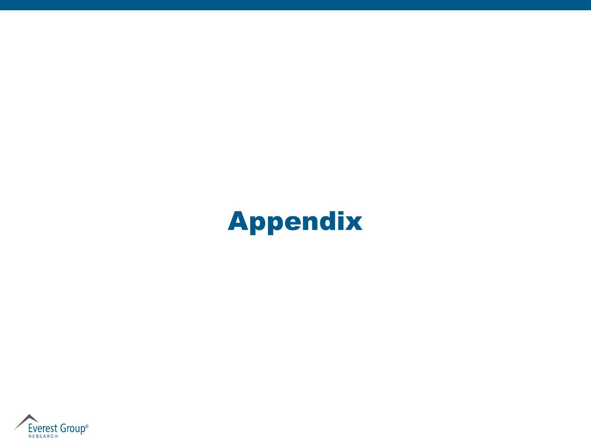# Appendix

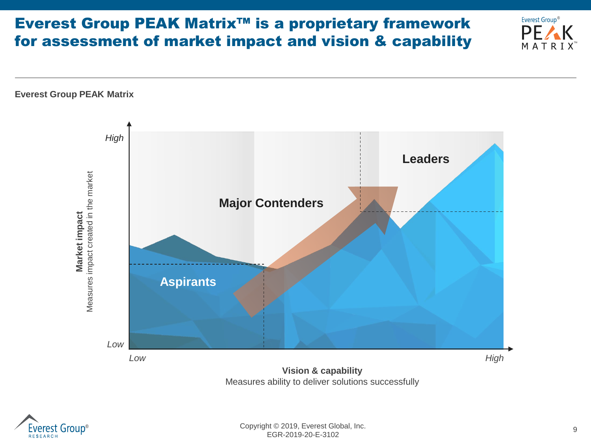## Everest Group PEAK Matrix™ is a proprietary framework for assessment of market impact and vision & capability





™

Everest Group<sup>®</sup>

 $PE/$ MATR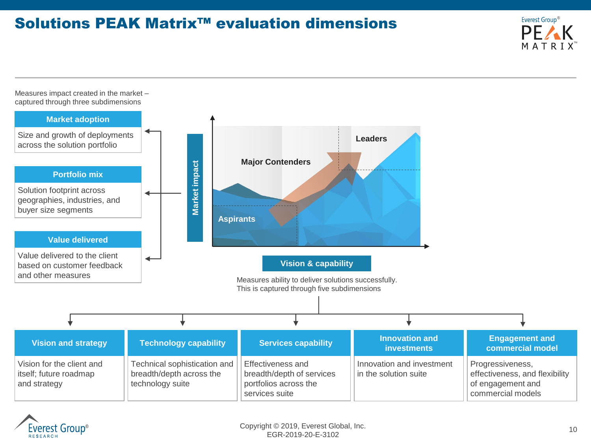### Solutions PEAK Matrix™ evaluation dimensions



Measures impact created in the market – captured through three subdimensions



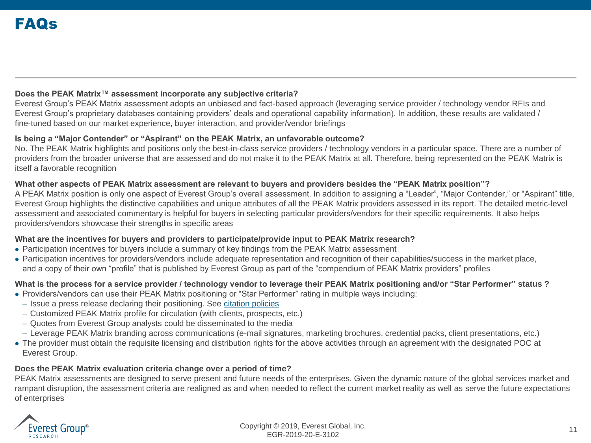### **Does the PEAK Matrix™ assessment incorporate any subjective criteria?**

Everest Group's PEAK Matrix assessment adopts an unbiased and fact-based approach (leveraging service provider / technology vendor RFIs and Everest Group's proprietary databases containing providers' deals and operational capability information). In addition, these results are validated / fine-tuned based on our market experience, buyer interaction, and provider/vendor briefings

#### **Is being a "Major Contender" or "Aspirant" on the PEAK Matrix, an unfavorable outcome?**

No. The PEAK Matrix highlights and positions only the best-in-class service providers / technology vendors in a particular space. There are a number of providers from the broader universe that are assessed and do not make it to the PEAK Matrix at all. Therefore, being represented on the PEAK Matrix is itself a favorable recognition

### **What other aspects of PEAK Matrix assessment are relevant to buyers and providers besides the "PEAK Matrix position"?**

A PEAK Matrix position is only one aspect of Everest Group's overall assessment. In addition to assigning a "Leader", "Major Contender," or "Aspirant" title, Everest Group highlights the distinctive capabilities and unique attributes of all the PEAK Matrix providers assessed in its report. The detailed metric-level assessment and associated commentary is helpful for buyers in selecting particular providers/vendors for their specific requirements. It also helps providers/vendors showcase their strengths in specific areas

### **What are the incentives for buyers and providers to participate/provide input to PEAK Matrix research?**

- ⚫ Participation incentives for buyers include a summary of key findings from the PEAK Matrix assessment
- ⚫ Participation incentives for providers/vendors include adequate representation and recognition of their capabilities/success in the market place, and a copy of their own "profile" that is published by Everest Group as part of the "compendium of PEAK Matrix providers" profiles

### **What is the process for a service provider / technology vendor to leverage their PEAK Matrix positioning and/or "Star Performer" status ?**

- ⚫ Providers/vendors can use their PEAK Matrix positioning or "Star Performer" rating in multiple ways including:
	- Issue a press release declaring their positioning. See [citation policies](https://www.everestgrp.com/research/peak-matrix/peak-matrix-citation-policy/)
- Customized PEAK Matrix profile for circulation (with clients, prospects, etc.)
- Quotes from Everest Group analysts could be disseminated to the media
- Leverage PEAK Matrix branding across communications (e-mail signatures, marketing brochures, credential packs, client presentations, etc.)
- ⚫ The provider must obtain the requisite licensing and distribution rights for the above activities through an agreement with the designated POC at Everest Group.

### **Does the PEAK Matrix evaluation criteria change over a period of time?**

PEAK Matrix assessments are designed to serve present and future needs of the enterprises. Given the dynamic nature of the global services market and rampant disruption, the assessment criteria are realigned as and when needed to reflect the current market reality as well as serve the future expectations of enterprises